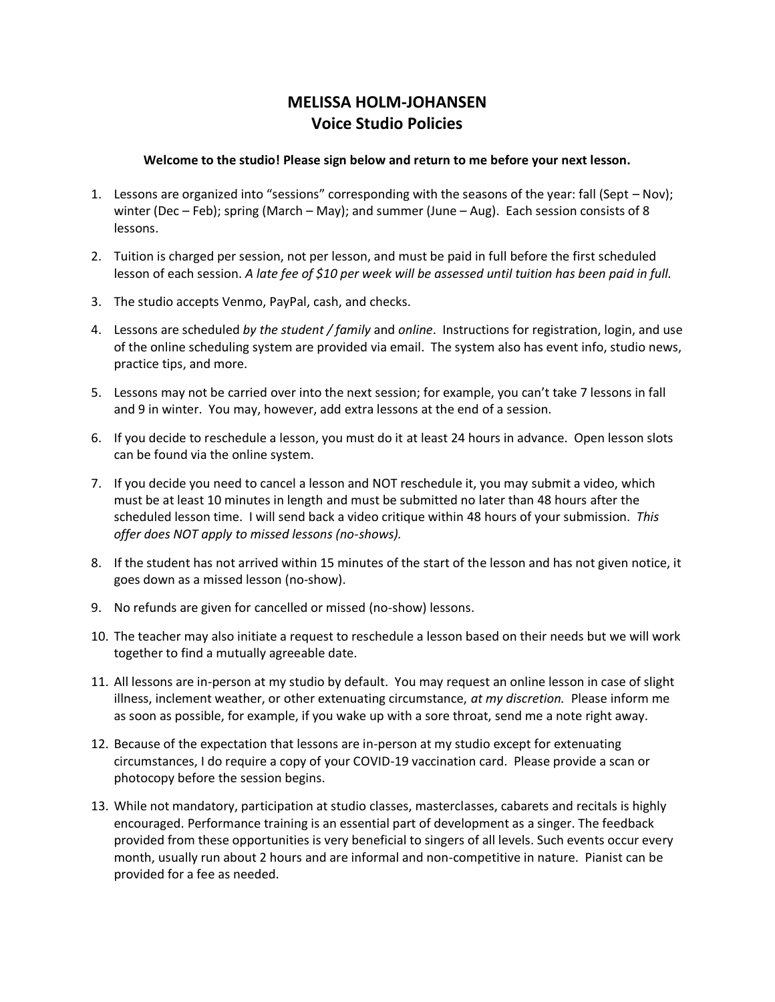## **MELISSA HOLM-JOHANSEN Voice Studio Policies**

## **Welcome to the studio! Please sign below and return to me before your next lesson.**

- 1. Lessons are organized into "sessions" corresponding with the seasons of the year: fall (Sept Nov); winter (Dec – Feb); spring (March – May); and summer (June – Aug). Each session consists of 8 lessons.
- 2. Tuition is charged per session, not per lesson, and must be paid in full before the first scheduled lesson of each session. *A late fee of \$10 per week will be assessed until tuition has been paid in full.*
- 3. The studio accepts Venmo, PayPal, cash, and checks.
- 4. Lessons are scheduled *by the student / family* and *online*. Instructions for registration, login, and use of the online scheduling system are provided via email. The system also has event info, studio news, practice tips, and more.
- 5. Lessons may not be carried over into the next session; for example, you can't take 7 lessons in fall and 9 in winter. You may, however, add extra lessons at the end of a session.
- 6. If you decide to reschedule a lesson, you must do it at least 24 hours in advance. Open lesson slots can be found via the online system.
- 7. If you decide you need to cancel a lesson and NOT reschedule it, you may submit a video, which must be at least 10 minutes in length and must be submitted no later than 48 hours after the scheduled lesson time. I will send back a video critique within 48 hours of your submission. *This offer does NOT apply to missed lessons (no-shows).*
- 8. If the student has not arrived within 15 minutes of the start of the lesson and has not given notice, it goes down as a missed lesson (no-show).
- 9. No refunds are given for cancelled or missed (no-show) lessons.
- 10. The teacher may also initiate a request to reschedule a lesson based on their needs but we will work together to find a mutually agreeable date.
- 11. All lessons are in-person at my studio by default. You may request an online lesson in case of slight illness, inclement weather, or other extenuating circumstance, *at my discretion.* Please inform me as soon as possible, for example, if you wake up with a sore throat, send me a note right away.
- 12. Because of the expectation that lessons are in-person at my studio except for extenuating circumstances, I do require a copy of your COVID-19 vaccination card. Please provide a scan or photocopy before the session begins.
- 13. While not mandatory, participation at studio classes, masterclasses, cabarets and recitals is highly encouraged. Performance training is an essential part of development as a singer. The feedback provided from these opportunities is very beneficial to singers of all levels. Such events occur every month, usually run about 2 hours and are informal and non-competitive in nature. Pianist can be provided for a fee as needed.